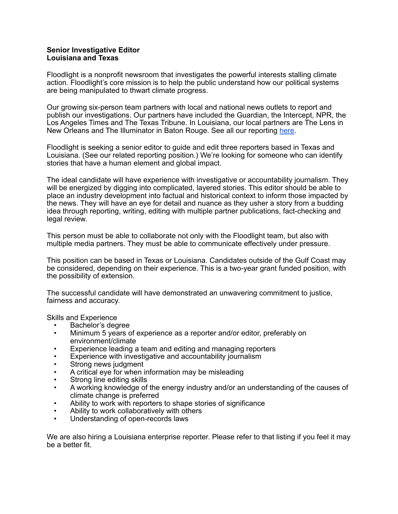## **Senior Investigative Editor Louisiana and Texas**

Floodlight is a nonprofit newsroom that investigates the powerful interests stalling climate action. Floodlight's core mission is to help the public understand how our political systems are being manipulated to thwart climate progress.

Our growing six-person team partners with local and national news outlets to report and publish our investigations. Our partners have included the Guardian, the Intercept, NPR, the Los Angeles Times and The Texas Tribune. In Louisiana, our local partners are The Lens in New Orleans and The Illuminator in Baton Rouge. See all our reporting [here.](https://www.floodlightnews.org/post/see-all-of-floodlight-s-reporting-collaborations)

Floodlight is seeking a senior editor to guide and edit three reporters based in Texas and Louisiana. (See our related reporting position.) We're looking for someone who can identify stories that have a human element and global impact.

The ideal candidate will have experience with investigative or accountability journalism. They will be energized by digging into complicated, layered stories. This editor should be able to place an industry development into factual and historical context to inform those impacted by the news. They will have an eye for detail and nuance as they usher a story from a budding idea through reporting, writing, editing with multiple partner publications, fact-checking and legal review.

This person must be able to collaborate not only with the Floodlight team, but also with multiple media partners. They must be able to communicate effectively under pressure.

This position can be based in Texas or Louisiana. Candidates outside of the Gulf Coast may be considered, depending on their experience. This is a two-year grant funded position, with the possibility of extension.

The successful candidate will have demonstrated an unwavering commitment to justice, fairness and accuracy.

Skills and Experience

- Bachelor's degree
- Minimum 5 years of experience as a reporter and/or editor, preferably on environment/climate
- Experience leading a team and editing and managing reporters
- Experience with investigative and accountability journalism
- Strong news judgment
- A critical eye for when information may be misleading
- Strong line editing skills
- A working knowledge of the energy industry and/or an understanding of the causes of climate change is preferred
- Ability to work with reporters to shape stories of significance
- Ability to work collaboratively with others
- Understanding of open-records laws

We are also hiring a Louisiana enterprise reporter. Please refer to that listing if you feel it may be a better fit.